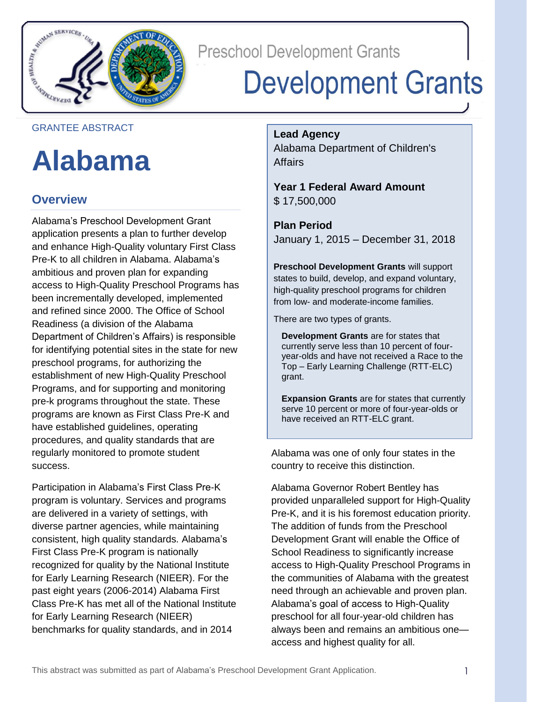

**Preschool Development Grants** 

# **Development Grants**

### GRANTEE ABSTRACT

## **Alabama**

### **Overview**

Alabama's Preschool Development Grant application presents a plan to further develop and enhance High-Quality voluntary First Class Pre-K to all children in Alabama. Alabama's ambitious and proven plan for expanding access to High-Quality Preschool Programs has been incrementally developed, implemented and refined since 2000. The Office of School Readiness (a division of the Alabama Department of Children's Affairs) is responsible for identifying potential sites in the state for new preschool programs, for authorizing the establishment of new High-Quality Preschool Programs, and for supporting and monitoring pre-k programs throughout the state. These programs are known as First Class Pre-K and have established guidelines, operating procedures, and quality standards that are regularly monitored to promote student success.

Participation in Alabama's First Class Pre-K program is voluntary. Services and programs are delivered in a variety of settings, with diverse partner agencies, while maintaining consistent, high quality standards. Alabama's First Class Pre-K program is nationally recognized for quality by the National Institute for Early Learning Research (NIEER). For the past eight years (2006-2014) Alabama First Class Pre-K has met all of the National Institute for Early Learning Research (NIEER) benchmarks for quality standards, and in 2014

**Lead Agency**

Alabama Department of Children's Affairs

**Year 1 Federal Award Amount** \$ 17,500,000

**Plan Period** January 1, 2015 – December 31, 2018

**Preschool Development Grants** will support states to build, develop, and expand voluntary, high-quality preschool programs for children from low- and moderate-income families.

There are two types of grants.

**Development Grants** are for states that currently serve less than 10 percent of fouryear-olds and have not received a Race to the Top – Early Learning Challenge (RTT-ELC) grant.

**Expansion Grants** are for states that currently serve 10 percent or more of four-year-olds or have received an RTT-ELC grant.

Alabama was one of only four states in the country to receive this distinction.

Alabama Governor Robert Bentley has provided unparalleled support for High-Quality Pre-K, and it is his foremost education priority. The addition of funds from the Preschool Development Grant will enable the Office of School Readiness to significantly increase access to High-Quality Preschool Programs in the communities of Alabama with the greatest need through an achievable and proven plan. Alabama's goal of access to High-Quality preschool for all four-year-old children has always been and remains an ambitious one access and highest quality for all.